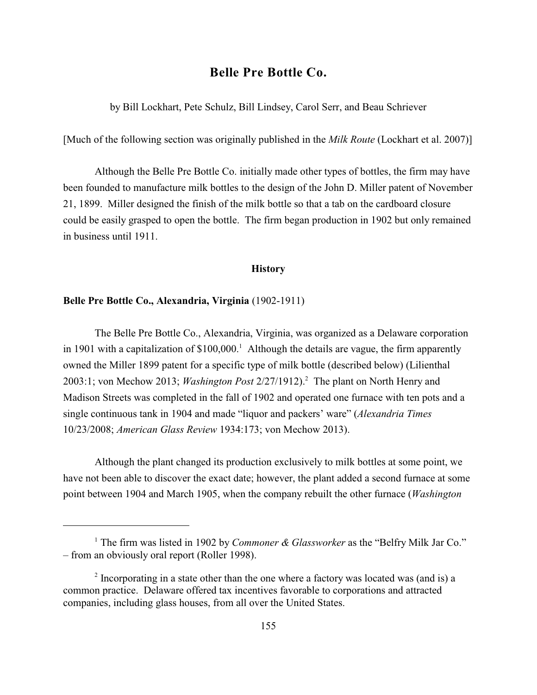# **Belle Pre Bottle Co.**

by Bill Lockhart, Pete Schulz, Bill Lindsey, Carol Serr, and Beau Schriever

[Much of the following section was originally published in the *Milk Route* (Lockhart et al. 2007)]

Although the Belle Pre Bottle Co. initially made other types of bottles, the firm may have been founded to manufacture milk bottles to the design of the John D. Miller patent of November 21, 1899. Miller designed the finish of the milk bottle so that a tab on the cardboard closure could be easily grasped to open the bottle. The firm began production in 1902 but only remained in business until 1911.

#### **History**

### **Belle Pre Bottle Co., Alexandria, Virginia** (1902-1911)

The Belle Pre Bottle Co., Alexandria, Virginia, was organized as a Delaware corporation in 1901 with a capitalization of  $$100,000$ <sup>1</sup> Although the details are vague, the firm apparently owned the Miller 1899 patent for a specific type of milk bottle (described below) (Lilienthal 2003:1; von Mechow 2013; *Washington Post* 2/27/1912).<sup>2</sup> The plant on North Henry and Madison Streets was completed in the fall of 1902 and operated one furnace with ten pots and a single continuous tank in 1904 and made "liquor and packers' ware" (*Alexandria Times* 10/23/2008; *American Glass Review* 1934:173; von Mechow 2013).

Although the plant changed its production exclusively to milk bottles at some point, we have not been able to discover the exact date; however, the plant added a second furnace at some point between 1904 and March 1905, when the company rebuilt the other furnace (*Washington*

<sup>&</sup>lt;sup>1</sup> The firm was listed in 1902 by *Commoner & Glassworker* as the "Belfry Milk Jar Co." – from an obviously oral report (Roller 1998).

 $\frac{1}{2}$  Incorporating in a state other than the one where a factory was located was (and is) a common practice. Delaware offered tax incentives favorable to corporations and attracted companies, including glass houses, from all over the United States.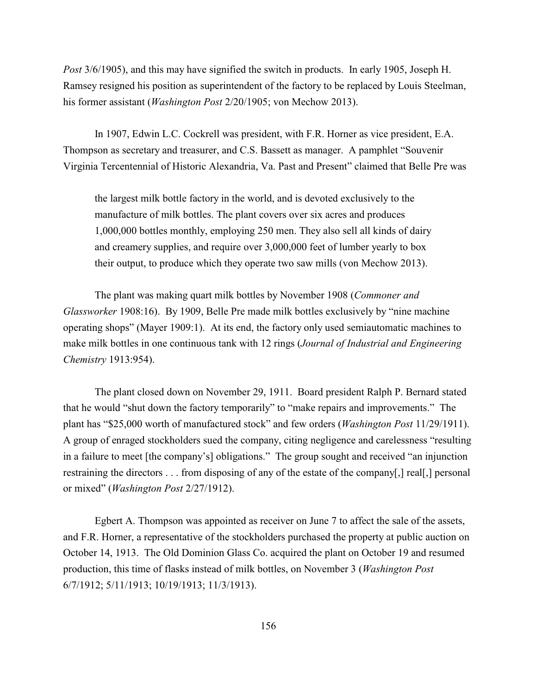*Post* 3/6/1905), and this may have signified the switch in products. In early 1905, Joseph H. Ramsey resigned his position as superintendent of the factory to be replaced by Louis Steelman, his former assistant (*Washington Post* 2/20/1905; von Mechow 2013).

In 1907, Edwin L.C. Cockrell was president, with F.R. Horner as vice president, E.A. Thompson as secretary and treasurer, and C.S. Bassett as manager. A pamphlet "Souvenir Virginia Tercentennial of Historic Alexandria, Va. Past and Present" claimed that Belle Pre was

the largest milk bottle factory in the world, and is devoted exclusively to the manufacture of milk bottles. The plant covers over six acres and produces 1,000,000 bottles monthly, employing 250 men. They also sell all kinds of dairy and creamery supplies, and require over 3,000,000 feet of lumber yearly to box their output, to produce which they operate two saw mills (von Mechow 2013).

The plant was making quart milk bottles by November 1908 (*Commoner and Glassworker* 1908:16). By 1909, Belle Pre made milk bottles exclusively by "nine machine operating shops" (Mayer 1909:1). At its end, the factory only used semiautomatic machines to make milk bottles in one continuous tank with 12 rings (*Journal of Industrial and Engineering Chemistry* 1913:954).

The plant closed down on November 29, 1911. Board president Ralph P. Bernard stated that he would "shut down the factory temporarily" to "make repairs and improvements." The plant has "\$25,000 worth of manufactured stock" and few orders (*Washington Post* 11/29/1911). A group of enraged stockholders sued the company, citing negligence and carelessness "resulting in a failure to meet [the company's] obligations." The group sought and received "an injunction restraining the directors . . . from disposing of any of the estate of the company[,] real[,] personal or mixed" (*Washington Post* 2/27/1912).

Egbert A. Thompson was appointed as receiver on June 7 to affect the sale of the assets, and F.R. Horner, a representative of the stockholders purchased the property at public auction on October 14, 1913. The Old Dominion Glass Co. acquired the plant on October 19 and resumed production, this time of flasks instead of milk bottles, on November 3 (*Washington Post* 6/7/1912; 5/11/1913; 10/19/1913; 11/3/1913).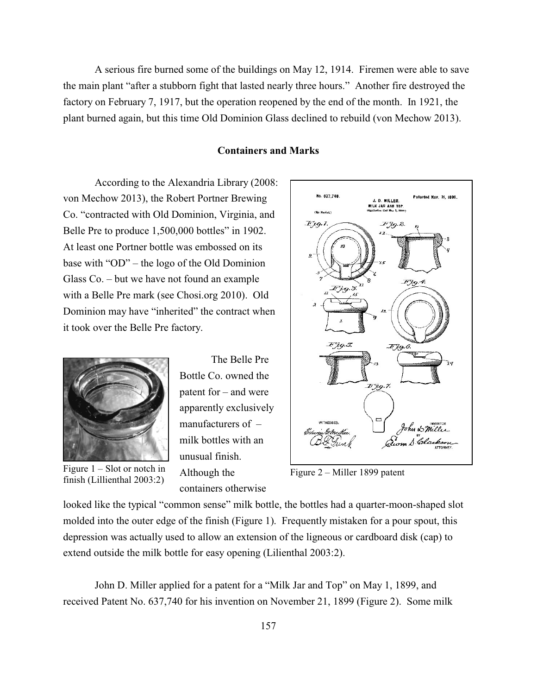A serious fire burned some of the buildings on May 12, 1914. Firemen were able to save the main plant "after a stubborn fight that lasted nearly three hours." Another fire destroyed the factory on February 7, 1917, but the operation reopened by the end of the month. In 1921, the plant burned again, but this time Old Dominion Glass declined to rebuild (von Mechow 2013).

#### **Containers and Marks**

No. 837.740.

(No Medel.)  $F_{\mu q. I}$ 

According to the Alexandria Library (2008: von Mechow 2013), the Robert Portner Brewing Co. "contracted with Old Dominion, Virginia, and Belle Pre to produce 1,500,000 bottles" in 1902. At least one Portner bottle was embossed on its base with "OD" – the logo of the Old Dominion Glass Co. – but we have not found an example with a Belle Pre mark (see Chosi.org 2010). Old Dominion may have "inherited" the contract when it took over the Belle Pre factory.



finish (Lillienthal 2003:2)

The Belle Pre Bottle Co. owned the patent for – and were apparently exclusively manufacturers of – milk bottles with an unusual finish. Although the containers otherwise

 $Fjg.4$ FJ9.5.  $Fig.5$  $Ejg.6$  $Fjg$  7. John DMille Gum S. Cla Figure 1 – Slot or notch in Although the Figure 2 – Miller 1899 patent

J. D. MILLER. **MILK JAN AND TOP**<br>Application fied May 1, 189

 $H_{\mathcal{A}}^{2}$ 

.<br>Patented Nov. 2i, 1899

looked like the typical "common sense" milk bottle, the bottles had a quarter-moon-shaped slot molded into the outer edge of the finish (Figure 1). Frequently mistaken for a pour spout, this depression was actually used to allow an extension of the ligneous or cardboard disk (cap) to extend outside the milk bottle for easy opening (Lilienthal 2003:2).

John D. Miller applied for a patent for a "Milk Jar and Top" on May 1, 1899, and received Patent No. 637,740 for his invention on November 21, 1899 (Figure 2). Some milk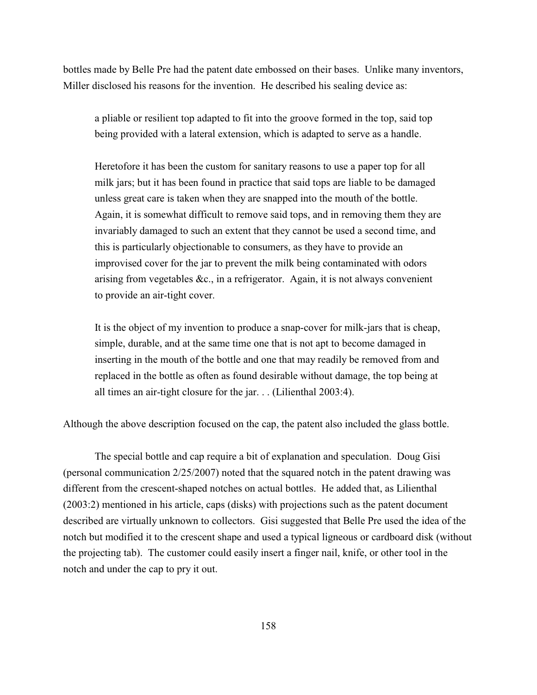bottles made by Belle Pre had the patent date embossed on their bases. Unlike many inventors, Miller disclosed his reasons for the invention. He described his sealing device as:

a pliable or resilient top adapted to fit into the groove formed in the top, said top being provided with a lateral extension, which is adapted to serve as a handle.

Heretofore it has been the custom for sanitary reasons to use a paper top for all milk jars; but it has been found in practice that said tops are liable to be damaged unless great care is taken when they are snapped into the mouth of the bottle. Again, it is somewhat difficult to remove said tops, and in removing them they are invariably damaged to such an extent that they cannot be used a second time, and this is particularly objectionable to consumers, as they have to provide an improvised cover for the jar to prevent the milk being contaminated with odors arising from vegetables &c., in a refrigerator. Again, it is not always convenient to provide an air-tight cover.

It is the object of my invention to produce a snap-cover for milk-jars that is cheap, simple, durable, and at the same time one that is not apt to become damaged in inserting in the mouth of the bottle and one that may readily be removed from and replaced in the bottle as often as found desirable without damage, the top being at all times an air-tight closure for the jar. . . (Lilienthal 2003:4).

Although the above description focused on the cap, the patent also included the glass bottle.

The special bottle and cap require a bit of explanation and speculation. Doug Gisi (personal communication 2/25/2007) noted that the squared notch in the patent drawing was different from the crescent-shaped notches on actual bottles. He added that, as Lilienthal (2003:2) mentioned in his article, caps (disks) with projections such as the patent document described are virtually unknown to collectors. Gisi suggested that Belle Pre used the idea of the notch but modified it to the crescent shape and used a typical ligneous or cardboard disk (without the projecting tab). The customer could easily insert a finger nail, knife, or other tool in the notch and under the cap to pry it out.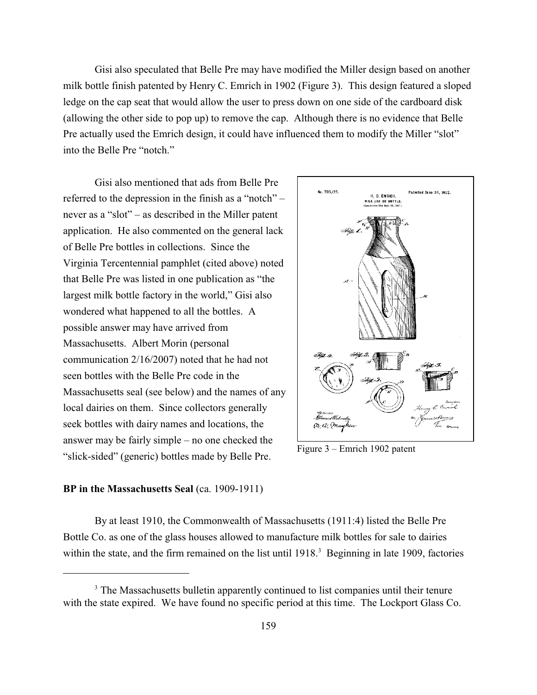Gisi also speculated that Belle Pre may have modified the Miller design based on another milk bottle finish patented by Henry C. Emrich in 1902 (Figure 3). This design featured a sloped ledge on the cap seat that would allow the user to press down on one side of the cardboard disk (allowing the other side to pop up) to remove the cap. Although there is no evidence that Belle Pre actually used the Emrich design, it could have influenced them to modify the Miller "slot" into the Belle Pre "notch."

Gisi also mentioned that ads from Belle Pre referred to the depression in the finish as a "notch" – never as a "slot" – as described in the Miller patent application. He also commented on the general lack of Belle Pre bottles in collections. Since the Virginia Tercentennial pamphlet (cited above) noted that Belle Pre was listed in one publication as "the largest milk bottle factory in the world," Gisi also wondered what happened to all the bottles. A possible answer may have arrived from Massachusetts. Albert Morin (personal communication 2/16/2007) noted that he had not seen bottles with the Belle Pre code in the Massachusetts seal (see below) and the names of any local dairies on them. Since collectors generally seek bottles with dairy names and locations, the answer may be fairly simple – no one checked the "slick-sided" (generic) bottles made by Belle Pre.



Figure 3 – Emrich 1902 patent

#### **BP in the Massachusetts Seal** (ca. 1909-1911)

By at least 1910, the Commonwealth of Massachusetts (1911:4) listed the Belle Pre Bottle Co. as one of the glass houses allowed to manufacture milk bottles for sale to dairies within the state, and the firm remained on the list until 1918.<sup>3</sup> Beginning in late 1909, factories

<sup>&</sup>lt;sup>3</sup> The Massachusetts bulletin apparently continued to list companies until their tenure with the state expired. We have found no specific period at this time. The Lockport Glass Co.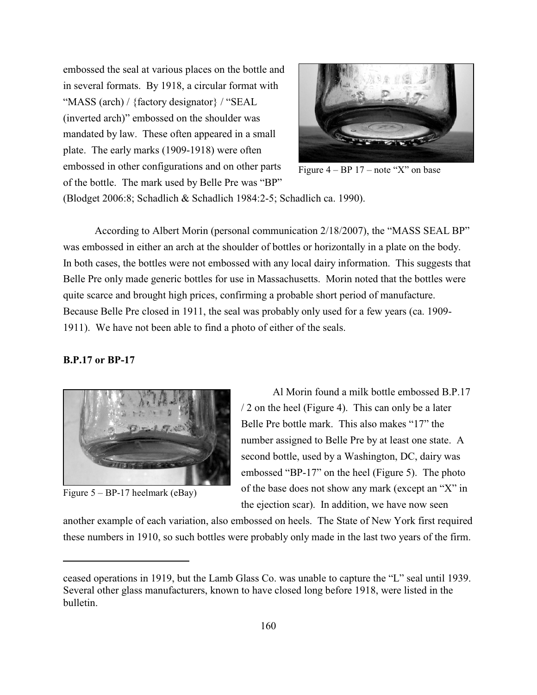embossed the seal at various places on the bottle and in several formats. By 1918, a circular format with "MASS (arch) / {factory designator} / "SEAL (inverted arch)" embossed on the shoulder was mandated by law. These often appeared in a small plate. The early marks (1909-1918) were often embossed in other configurations and on other parts of the bottle. The mark used by Belle Pre was "BP"



Figure  $4 - BP 17$  – note "X" on base

(Blodget 2006:8; Schadlich & Schadlich 1984:2-5; Schadlich ca. 1990).

According to Albert Morin (personal communication 2/18/2007), the "MASS SEAL BP" was embossed in either an arch at the shoulder of bottles or horizontally in a plate on the body. In both cases, the bottles were not embossed with any local dairy information. This suggests that Belle Pre only made generic bottles for use in Massachusetts. Morin noted that the bottles were quite scarce and brought high prices, confirming a probable short period of manufacture. Because Belle Pre closed in 1911, the seal was probably only used for a few years (ca. 1909- 1911). We have not been able to find a photo of either of the seals.

#### **B.P.17 or BP-17**



Figure  $5 - BP-17$  heelmark (eBay)

Al Morin found a milk bottle embossed B.P.17 / 2 on the heel (Figure 4). This can only be a later Belle Pre bottle mark. This also makes "17" the number assigned to Belle Pre by at least one state. A second bottle, used by a Washington, DC, dairy was embossed "BP-17" on the heel (Figure 5). The photo of the base does not show any mark (except an "X" in the ejection scar). In addition, we have now seen

another example of each variation, also embossed on heels. The State of New York first required these numbers in 1910, so such bottles were probably only made in the last two years of the firm.

ceased operations in 1919, but the Lamb Glass Co. was unable to capture the "L" seal until 1939. Several other glass manufacturers, known to have closed long before 1918, were listed in the bulletin.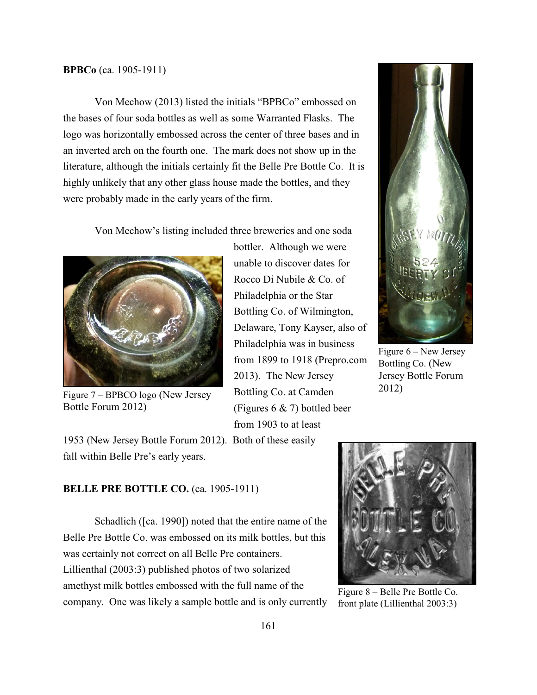#### **BPBCo** (ca. 1905-1911)

Von Mechow (2013) listed the initials "BPBCo" embossed on the bases of four soda bottles as well as some Warranted Flasks. The logo was horizontally embossed across the center of three bases and in an inverted arch on the fourth one. The mark does not show up in the literature, although the initials certainly fit the Belle Pre Bottle Co. It is highly unlikely that any other glass house made the bottles, and they were probably made in the early years of the firm.

Von Mechow's listing included three breweries and one soda



Bottle Forum 2012)

bottler. Although we were unable to discover dates for Rocco Di Nubile & Co. of Philadelphia or the Star Bottling Co. of Wilmington, Delaware, Tony Kayser, also of Philadelphia was in business from 1899 to 1918 (Prepro.com 2013). The New Jersey Bottling Co. at Camden (Figures 6 & 7) bottled beer from 1903 to at least Figure 7 – BPBCO logo (New Jersey Bottling Co. at Camden 2012)



Figure 6 – New Jersey Bottling Co. (New Jersey Bottle Forum

1953 (New Jersey Bottle Forum 2012). Both of these easily fall within Belle Pre's early years.

# **BELLE PRE BOTTLE CO.** (ca. 1905-1911)

Schadlich ([ca. 1990]) noted that the entire name of the Belle Pre Bottle Co. was embossed on its milk bottles, but this was certainly not correct on all Belle Pre containers. Lillienthal (2003:3) published photos of two solarized amethyst milk bottles embossed with the full name of the company. One was likely a sample bottle and is only currently



Figure 8 – Belle Pre Bottle Co. front plate (Lillienthal 2003:3)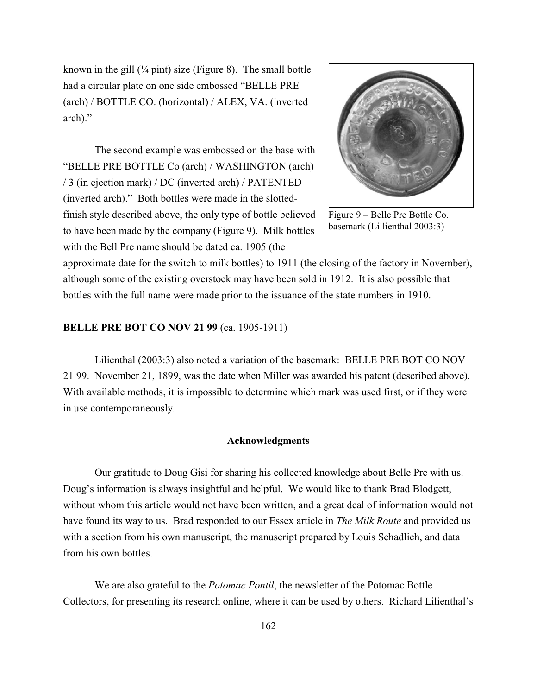known in the gill  $(\frac{1}{4}$  pint) size (Figure 8). The small bottle had a circular plate on one side embossed "BELLE PRE (arch) / BOTTLE CO. (horizontal) / ALEX, VA. (inverted arch)."

The second example was embossed on the base with "BELLE PRE BOTTLE Co (arch) / WASHINGTON (arch) / 3 (in ejection mark) / DC (inverted arch) / PATENTED (inverted arch)." Both bottles were made in the slottedfinish style described above, the only type of bottle believed to have been made by the company (Figure 9). Milk bottles with the Bell Pre name should be dated ca. 1905 (the



Figure 9 – Belle Pre Bottle Co. basemark (Lillienthal 2003:3)

approximate date for the switch to milk bottles) to 1911 (the closing of the factory in November), although some of the existing overstock may have been sold in 1912. It is also possible that bottles with the full name were made prior to the issuance of the state numbers in 1910.

#### **BELLE PRE BOT CO NOV 21 99 (ca. 1905-1911)**

Lilienthal (2003:3) also noted a variation of the basemark: BELLE PRE BOT CO NOV 21 99. November 21, 1899, was the date when Miller was awarded his patent (described above). With available methods, it is impossible to determine which mark was used first, or if they were in use contemporaneously.

#### **Acknowledgments**

Our gratitude to Doug Gisi for sharing his collected knowledge about Belle Pre with us. Doug's information is always insightful and helpful. We would like to thank Brad Blodgett, without whom this article would not have been written, and a great deal of information would not have found its way to us. Brad responded to our Essex article in *The Milk Route* and provided us with a section from his own manuscript, the manuscript prepared by Louis Schadlich, and data from his own bottles.

We are also grateful to the *Potomac Pontil*, the newsletter of the Potomac Bottle Collectors, for presenting its research online, where it can be used by others. Richard Lilienthal's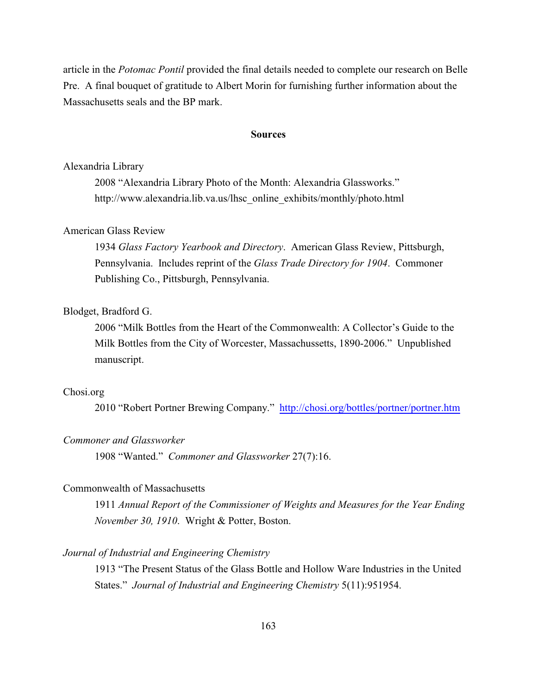article in the *Potomac Pontil* provided the final details needed to complete our research on Belle Pre. A final bouquet of gratitude to Albert Morin for furnishing further information about the Massachusetts seals and the BP mark.

#### **Sources**

#### Alexandria Library

2008 "Alexandria Library Photo of the Month: Alexandria Glassworks." http://www.alexandria.lib.va.us/lhsc\_online\_exhibits/monthly/photo.html

# American Glass Review

1934 *Glass Factory Yearbook and Directory*. American Glass Review, Pittsburgh, Pennsylvania. Includes reprint of the *Glass Trade Directory for 1904*. Commoner Publishing Co., Pittsburgh, Pennsylvania.

# Blodget, Bradford G.

2006 "Milk Bottles from the Heart of the Commonwealth: A Collector's Guide to the Milk Bottles from the City of Worcester, Massachussetts, 1890-2006." Unpublished manuscript.

### Chosi.org

2010 "Robert Portner Brewing Company." <http://chosi.org/bottles/portner/portner.htm>

### *Commoner and Glassworker*

1908 "Wanted." *Commoner and Glassworker* 27(7):16.

# Commonwealth of Massachusetts

1911 *Annual Report of the Commissioner of Weights and Measures for the Year Ending November 30, 1910*. Wright & Potter, Boston.

### *Journal of Industrial and Engineering Chemistry*

1913 "The Present Status of the Glass Bottle and Hollow Ware Industries in the United States." *Journal of Industrial and Engineering Chemistry* 5(11):951954.